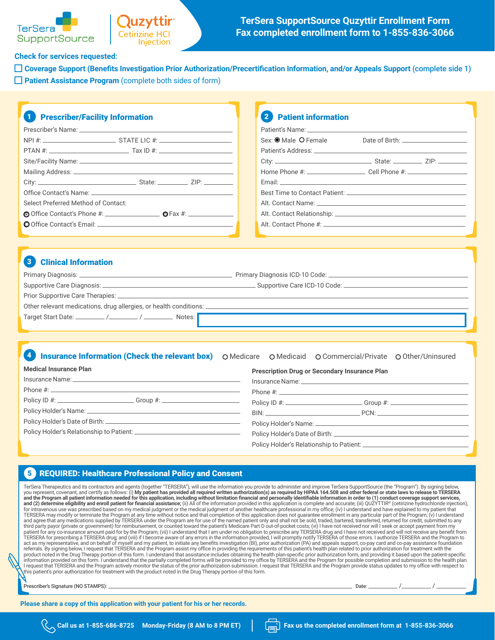#### **Check for services requested**:

**SupportSource** 

**Cetirizine HCI** 

Injection

**TerSera** 

**Coverage Support (Benefits Investigation Prior Authorization/Precertification Information, and/or Appeals Support** (complete side 1) **Patient Assistance Program** (complete both sides of form)

#### 1 Prescriber/Facility Information Prescriber's Name: NPI #: STATE LIC #: PTAN #: Tax ID #: Site/Facility Name: \_\_\_\_\_\_\_ Mailing Address: City: State: ZIP: Office Contact's Name: Select Preferred Method of Contact: Office Contact's Phone #: \_\_\_\_\_\_\_\_\_\_\_\_\_\_\_\_ O Fax #: \_\_\_\_\_\_\_ Office Contact's Email: 2 Patient information Patient's Name: Sex: O Male O Female Date of Birth: 2000 COM Patient's Address: \_\_\_\_\_\_\_\_ City: State: ZIP: Home Phone #: Cell Phone #: Email: Best Time to Contact Patient: Alt. Contact Name: Alt. Contact Relationship: Alt. Contact Phone #:

### **Clinical Information**

| Primary Diagnosis: _                                                       | Primary Diagnosis ICD-10 Code: _ |
|----------------------------------------------------------------------------|----------------------------------|
| Supportive Care Diagnosis: _                                               | Supportive Care ICD-10 Code:     |
| Prior Supportive Care Therapies: _                                         |                                  |
| Other relevant medications, drug allergies, or health conditions: $\equiv$ |                                  |
| Notes:                                                                     |                                  |

#### 4 Insurance Information (Check the relevant box) O Medicare O Medicaid O Commercial/Private O Other/Uninsured

| <b>Medical Insurance Plan</b>                                                    | <b>Prescription Drug or Secondary Insurance Plan</b>                                                 |
|----------------------------------------------------------------------------------|------------------------------------------------------------------------------------------------------|
|                                                                                  | Insurance Name: 2008 and 2008 and 2008 and 2008 and 2008 and 2008 and 2008 and 2008 and 2008 and 200 |
|                                                                                  |                                                                                                      |
| Policy ID #: _____________________________Group #: _____________________________ | Policy ID #: ______________________________Group #: ____________________________                     |
|                                                                                  | $BIN:$ $PCN:$                                                                                        |
|                                                                                  |                                                                                                      |
|                                                                                  |                                                                                                      |
|                                                                                  | Policy Holder's Relationship to Patient: ________________                                            |

## 5 REQUIRED: Healthcare Professional Policy and Consent

TerSera Therapeutics and its contractors and agents (together "TERSERA"), will use the information you provide to administer and improve TerSera SupportSource (the "Program"). By signing below, you represent, covenant, and certify as follows: (i) My patient has provided all required written authorization(s) as required by HIPAA 164.508 and other federal or state laws to release to TERSERA<br>and the Program all pati for intravenous use was prescribed based on my medical judgment of the medical judgment of another healthcare professional in my office; (iv) I understand and have explained to my patient that<br>TERSERA may modify or termina third party payor (private or government) for reimbursement, or counted toward the patient's Medicare Part D out-of-pocket costs; (vi) I have not received nor will I seek or accept payment from my<br>patient for any co-insura act as my representative, and on behalf of myself and my patient, to initiate any benefits investigation (BI), prior authorization (PA) and appeals support, co-pay card and co-pay assistance foundation<br>referrals. By signin information provided on this form. I understand that the partially completed forms will be provided to my office by TERSERA and the Program for possible completion and submission to the health plan.<br>I request that TERSERA this patient's prior authorization for treatment with the product noted in the Drug Therapy portion of this form.

Prescriber's Signature (NO STAMPS): Date: / /

**Please share a copy of this application with your patient for his or her records.**